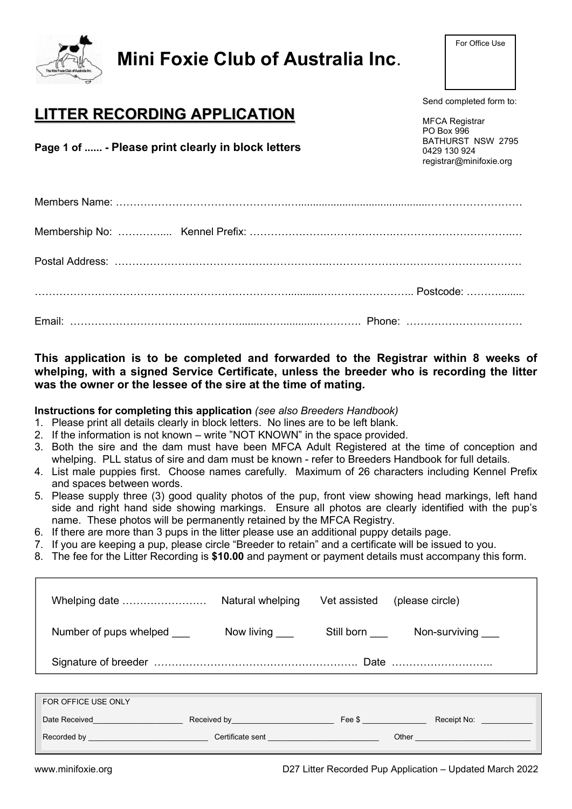| <b>LITTER RECORDING APPLICATION</b><br>Page 1 of  - Please print clearly in block letters | Send completed form to:<br><b>MFCA Registrar</b><br>PO Box 996<br>BATHURST NSW 2795<br>0429 130 924<br>registrar@minifoxie.org |
|-------------------------------------------------------------------------------------------|--------------------------------------------------------------------------------------------------------------------------------|
|                                                                                           |                                                                                                                                |
|                                                                                           |                                                                                                                                |
|                                                                                           |                                                                                                                                |
|                                                                                           |                                                                                                                                |
|                                                                                           |                                                                                                                                |
| This application is to be completed and forwarded to the Registrar within 8 weeks of      |                                                                                                                                |

Mini Foxie Club of Australia Inc.

## whelping, with a signed Service Certificate, unless the breeder who is recording the litter was the owner or the lessee of the sire at the time of mating.

Instructions for completing this application (see also Breeders Handbook)

- 1. Please print all details clearly in block letters. No lines are to be left blank.
- 2. If the information is not known write "NOT KNOWN" in the space provided.
- 3. Both the sire and the dam must have been MFCA Adult Registered at the time of conception and whelping. PLL status of sire and dam must be known - refer to Breeders Handbook for full details.
- 4. List male puppies first. Choose names carefully. Maximum of 26 characters including Kennel Prefix and spaces between words.
- 5. Please supply three (3) good quality photos of the pup, front view showing head markings, left hand side and right hand side showing markings. Ensure all photos are clearly identified with the pup's name. These photos will be permanently retained by the MFCA Registry.
- 6. If there are more than 3 pups in the litter please use an additional puppy details page.
- 7. If you are keeping a pup, please circle "Breeder to retain" and a certificate will be issued to you.
- 8. The fee for the Litter Recording is \$10.00 and payment or payment details must accompany this form.

| Whelping date                                                                                                                                                                                                                      | Natural whelping                                                                                                                                                                                                               | Vet assisted | (please circle)                                                                                                                                                                                                                |
|------------------------------------------------------------------------------------------------------------------------------------------------------------------------------------------------------------------------------------|--------------------------------------------------------------------------------------------------------------------------------------------------------------------------------------------------------------------------------|--------------|--------------------------------------------------------------------------------------------------------------------------------------------------------------------------------------------------------------------------------|
| Number of pups whelped                                                                                                                                                                                                             | Now living ____                                                                                                                                                                                                                | Still born   | Non-surviving ____                                                                                                                                                                                                             |
|                                                                                                                                                                                                                                    |                                                                                                                                                                                                                                |              |                                                                                                                                                                                                                                |
|                                                                                                                                                                                                                                    |                                                                                                                                                                                                                                |              |                                                                                                                                                                                                                                |
| FOR OFFICE USE ONLY                                                                                                                                                                                                                |                                                                                                                                                                                                                                |              |                                                                                                                                                                                                                                |
| Date Received <b>Exercises Contract Contract Contract Contract Contract Contract Contract Contract Contract Contract Contract Contract Contract Contract Contract Contract Contract Contract Contract Contract Contract Contra</b> | Received by the contract of the Second December 1999. The Second December 1999 and December 1999.                                                                                                                              |              |                                                                                                                                                                                                                                |
| Recorded by the contract of the contract of the contract of the contract of the contract of the contract of the                                                                                                                    | Certificate sent and the contract of the contract of the contract of the contract of the contract of the contract of the contract of the contract of the contract of the contract of the contract of the contract of the contr |              | Other the contract of the contract of the contract of the contract of the contract of the contract of the contract of the contract of the contract of the contract of the contract of the contract of the contract of the cont |

For Office Use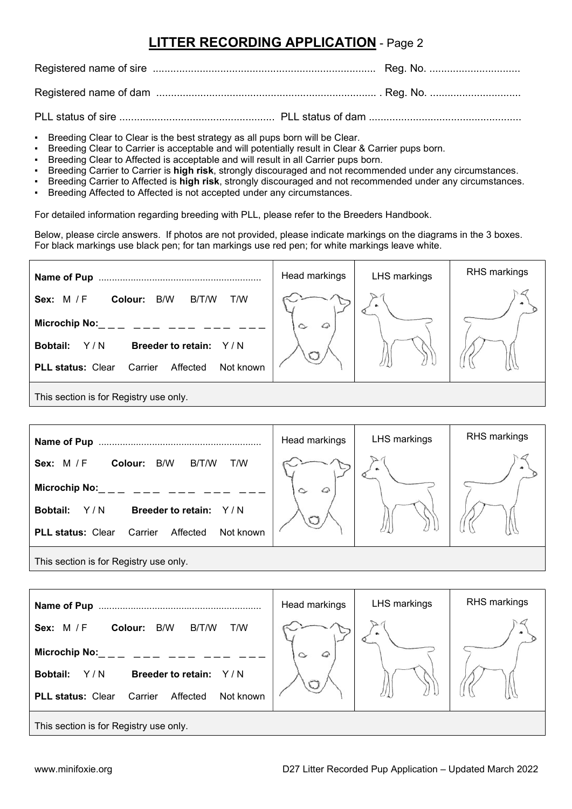## LITTER RECORDING APPLICATION - Page 2

Registered name of sire ............................................................................ Reg. No. ...............................

Registered name of dam ........................................................................... . Reg. No. ...............................

PLL status of sire ..................................................... PLL status of dam ....................................................

- Breeding Clear to Clear is the best strategy as all pups born will be Clear.
- Breeding Clear to Carrier is acceptable and will potentially result in Clear & Carrier pups born.
- Breeding Clear to Affected is acceptable and will result in all Carrier pups born.
- Breeding Carrier to Carrier is high risk, strongly discouraged and not recommended under any circumstances.
- Breeding Carrier to Affected is high risk, strongly discouraged and not recommended under any circumstances.
- Breeding Affected to Affected is not accepted under any circumstances.

For detailed information regarding breeding with PLL, please refer to the Breeders Handbook.

Below, please circle answers. If photos are not provided, please indicate markings on the diagrams in the 3 boxes. For black markings use black pen; for tan markings use red pen; for white markings leave white.

| Name of Pup                                                  | Head markings | LHS markings | RHS markings |
|--------------------------------------------------------------|---------------|--------------|--------------|
| T/W<br>Sex: $M / F$<br>B/T/W<br>B/W<br>Colour:               |               |              |              |
| <b>Microchip No:</b>                                         | $\sim$        |              |              |
| Y/N<br><b>Bobtail:</b><br><b>Breeder to retain:</b><br>Y/N   |               |              |              |
| <b>PLL status: Clear</b><br>Affected<br>Not known<br>Carrier |               |              |              |
| This section is far Degistry use only                        |               |              |              |

This section is for Registry use only.

| Name of Pup                                                  | Head markings        | <b>LHS markings</b> | RHS markings |
|--------------------------------------------------------------|----------------------|---------------------|--------------|
| B/T/W<br>Colour: B/W<br>T/W<br><b>Sex: M/F</b>               |                      | $\bullet$           |              |
| <b>Microchip No:</b>                                         | $\varphi$<br>$\circ$ |                     |              |
| Y/N<br><b>Breeder to retain:</b><br><b>Bobtail:</b><br>Y/N   |                      |                     |              |
| <b>PLL status: Clear</b><br>Affected<br>Not known<br>Carrier |                      |                     |              |
| This section is for Registry use only.                       |                      |                     |              |

Head markings | LHS markings | RHS markings Name of Pup ............................................................. Sex: M / F Colour: B/W B/T/W T/W Microchip No:  $\curvearrowright$ Bobtail: Y/N Breeder to retain: Y/N PLL status: Clear Carrier Affected Not known This section is for Registry use only.